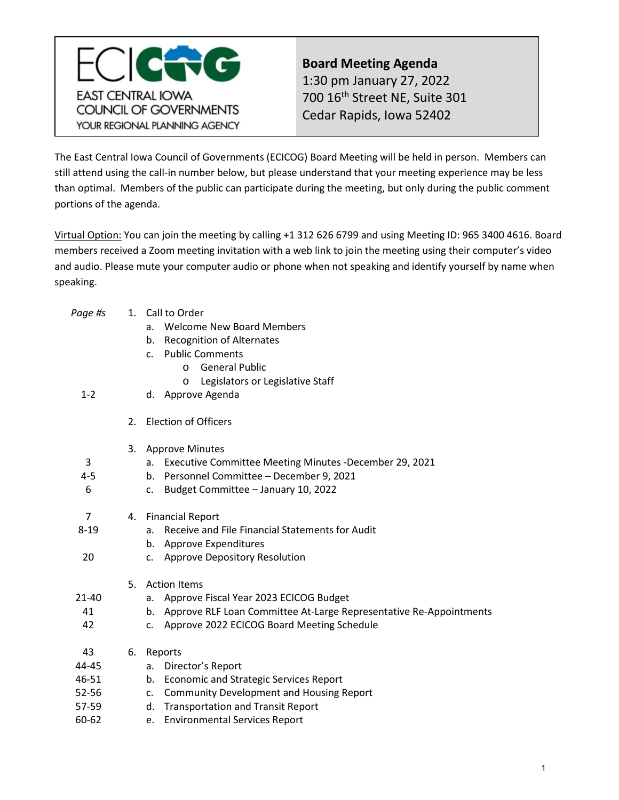<span id="page-0-0"></span>

**Board Meeting Agenda** 1:30 pm January 27, 2022 700 16th Street NE, Suite 301 Cedar Rapids, Iowa 52402

The East Central Iowa Council of Governments (ECICOG) Board Meeting will be held in person. Members can still attend using the call-in number below, but please understand that your meeting experience may be less than optimal. Members of the public can participate during the meeting, but only during the public comment portions of the agenda.

Virtual Option: You can join the meeting by calling +1 312 626 6799 and using Meeting ID: 965 3400 4616. Board members received a Zoom meeting invitation with a web link to join the meeting using their computer's video and audio. Please mute your computer audio or phone when not speaking and identify yourself by name when speaking.

| Page #s  |    | 1. Call to Order                                                         |
|----------|----|--------------------------------------------------------------------------|
|          |    | <b>Welcome New Board Members</b><br>a.                                   |
|          |    | <b>Recognition of Alternates</b><br>b.                                   |
|          |    | <b>Public Comments</b><br>C <sub>1</sub>                                 |
|          |    | <b>General Public</b><br>$\Omega$                                        |
|          |    | Legislators or Legislative Staff<br>$\circ$                              |
| $1 - 2$  |    | Approve Agenda<br>d.                                                     |
|          | 2. | <b>Election of Officers</b>                                              |
|          | 3. | <b>Approve Minutes</b>                                                   |
| 3        |    | Executive Committee Meeting Minutes -December 29, 2021<br>a.             |
| $4 - 5$  |    | Personnel Committee - December 9, 2021<br>b.                             |
| 6        |    | Budget Committee - January 10, 2022<br>c.                                |
| 7        | 4. | <b>Financial Report</b>                                                  |
| $8 - 19$ |    | Receive and File Financial Statements for Audit<br>a.                    |
|          |    | <b>Approve Expenditures</b><br>b.                                        |
| 20       |    | <b>Approve Depository Resolution</b><br>$\mathsf{C}$ .                   |
|          | 5. | <b>Action Items</b>                                                      |
| 21-40    |    | Approve Fiscal Year 2023 ECICOG Budget<br>а.                             |
| 41       |    | Approve RLF Loan Committee At-Large Representative Re-Appointments<br>b. |
| 42       |    | Approve 2022 ECICOG Board Meeting Schedule<br>$C_{\bullet}$              |
| 43       | 6. | Reports                                                                  |
| 44-45    |    | Director's Report<br>a.                                                  |
| 46-51    |    | <b>Economic and Strategic Services Report</b><br>b.                      |
| 52-56    |    | <b>Community Development and Housing Report</b><br>c.                    |
| 57-59    |    | d.<br><b>Transportation and Transit Report</b>                           |
| 60-62    |    | <b>Environmental Services Report</b><br>e.                               |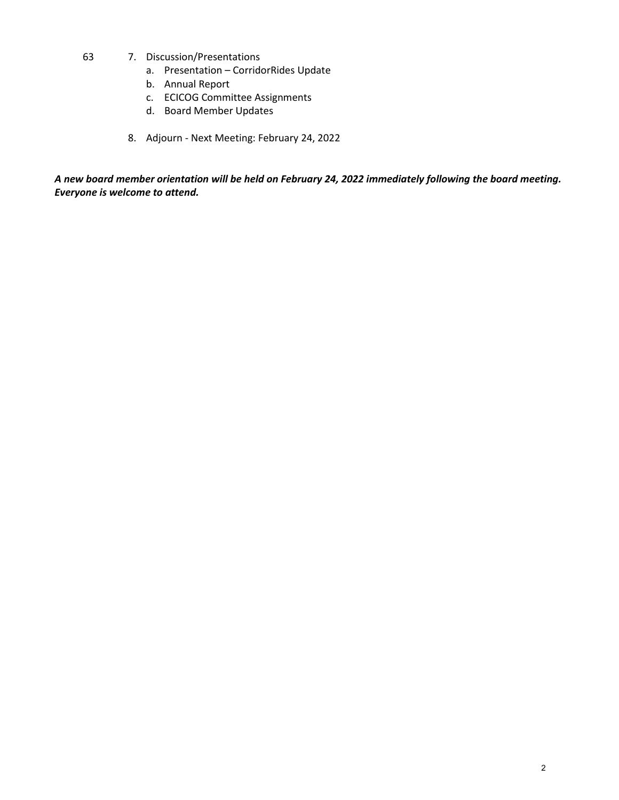- 63 7. Discussion/Presentations
	- a. Presentation CorridorRides Update
	- b. Annual Report
	- c. ECICOG Committee Assignments
	- d. Board Member Updates
	- 8. Adjourn Next Meeting: February 24, 2022

*A new board member orientation will be held on February 24, 2022 immediately following the board meeting. Everyone is welcome to attend.*